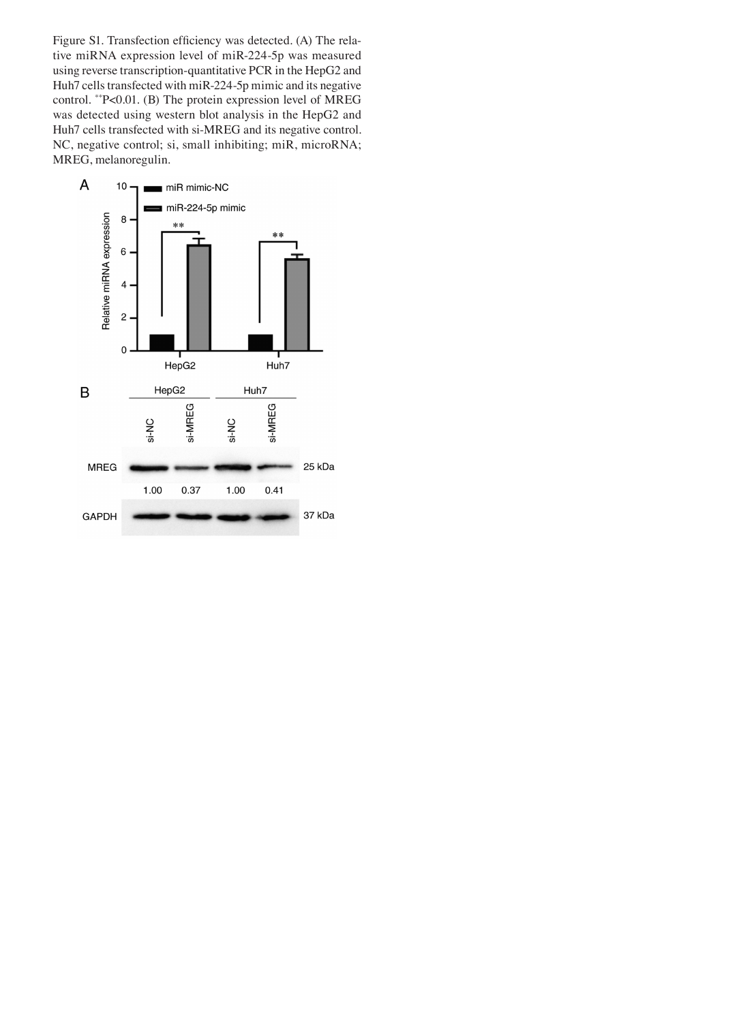Figure S1. Transfection efficiency was detected. (A) The relative miRNA expression level of miR‑224‑5p was measured using reverse transcription‑quantitative PCR in the HepG2 and Huh7 cells transfected with miR‑224‑5p mimic and its negative control. \*\*P<0.01. (B) The protein expression level of MREG was detected using western blot analysis in the HepG2 and Huh7 cells transfected with si-MREG and its negative control. NC, negative control; si, small inhibiting; miR, microRNA; MREG, melanoregulin.

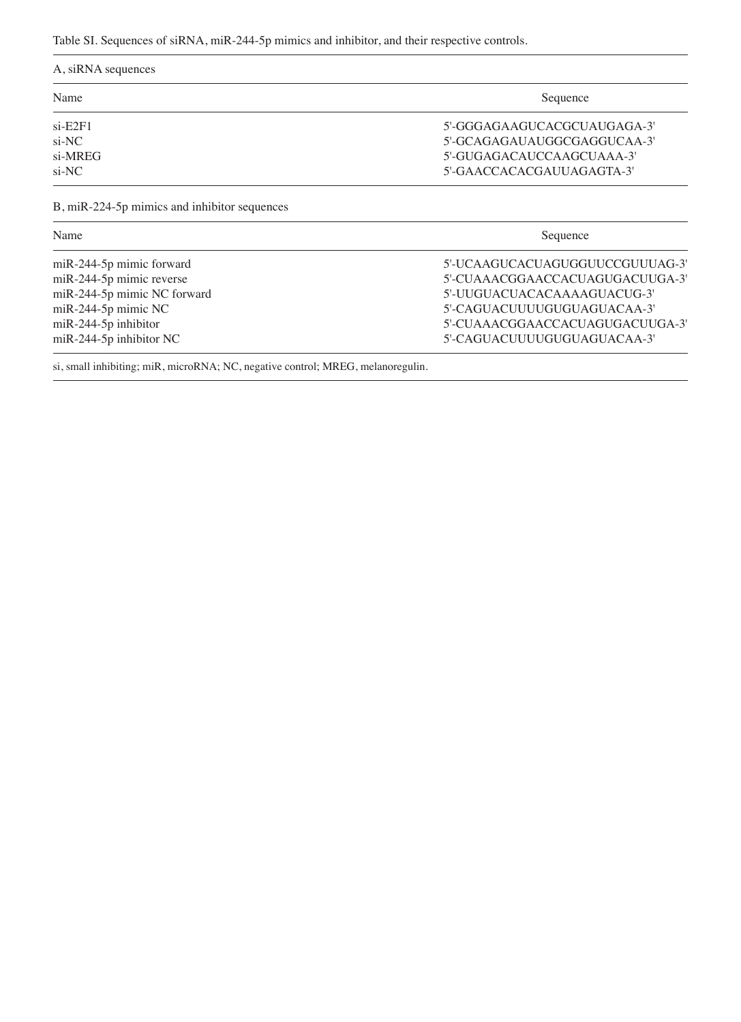Table SI. Sequences of siRNA, miR-244-5p mimics and inhibitor, and their respective controls.

| A, siRNA sequences          |                                 |  |  |
|-----------------------------|---------------------------------|--|--|
| Name                        | Sequence                        |  |  |
| $si$ -E2F1                  | 5'-GGGAGAAGUCACGCUAUGAGA-3'     |  |  |
| $si$ -NC                    | 5'-GCAGAGAUAUGGCGAGGUCAA-3'     |  |  |
| si-MREG                     | 5'-GUGAGACAUCCAAGCUAAA-3'       |  |  |
| $si$ -NC                    | 5'-GAACCACACGAUUAGAGTA-3'       |  |  |
| Name                        | Sequence                        |  |  |
| $miR-244-5p$ mimic forward  | 5'-UCAAGUCACUAGUGGUUCCGUUUAG-3' |  |  |
| miR-244-5p mimic reverse    | 5'-CUAAACGGAACCACUAGUGACUUGA-3' |  |  |
| miR-244-5p mimic NC forward | 5'-UUGUACUACACAAAAGUACUG-3'     |  |  |
| miR-244-5p mimic NC         | 5'-CAGUACUUUUGUGUAGUACAA-3'     |  |  |
| $miR-244-5p$ inhibitor      | 5'-CUAAACGGAACCACUAGUGACUUGA-3' |  |  |
| $miR-244-5p$ inhibitor NC   | 5'-CAGUACUUUUGUGUAGUACAA-3'     |  |  |

si, small inhibiting; miR, microRNA; NC, negative control; MREG, melanoregulin.